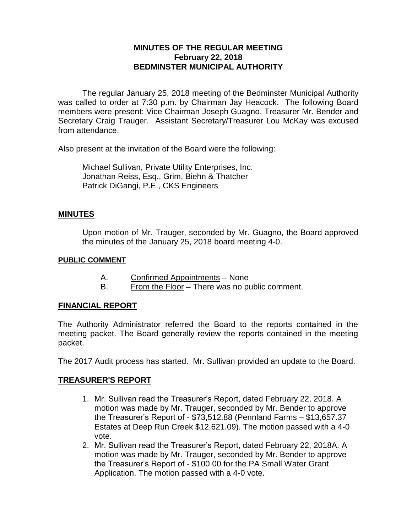### **MINUTES OF THE REGULAR MEETING February 22, 2018 BEDMINSTER MUNICIPAL AUTHORITY**

The regular January 25, 2018 meeting of the Bedminster Municipal Authority was called to order at 7:30 p.m. by Chairman Jay Heacock. The following Board members were present: Vice Chairman Joseph Guagno, Treasurer Mr. Bender and Secretary Craig Trauger. Assistant Secretary/Treasurer Lou McKay was excused from attendance.

Also present at the invitation of the Board were the following:

Michael Sullivan, Private Utility Enterprises, Inc. Jonathan Reiss, Esq., Grim, Biehn & Thatcher Patrick DiGangi, P.E., CKS Engineers

### **MINUTES**

Upon motion of Mr. Trauger, seconded by Mr. Guagno, the Board approved the minutes of the January 25, 2018 board meeting 4-0.

#### **PUBLIC COMMENT**

- A. Confirmed Appointments None
- B. From the Floor There was no public comment.

### **FINANCIAL REPORT**

The Authority Administrator referred the Board to the reports contained in the meeting packet. The Board generally review the reports contained in the meeting packet.

The 2017 Audit process has started. Mr. Sullivan provided an update to the Board.

### **TREASURER'S REPORT**

- 1. Mr. Sullivan read the Treasurer's Report, dated February 22, 2018. A motion was made by Mr. Trauger, seconded by Mr. Bender to approve the Treasurer's Report of - \$73,512.88 (Pennland Farms – \$13,657.37 Estates at Deep Run Creek \$12,621.09). The motion passed with a 4-0 vote.
- 2. Mr. Sullivan read the Treasurer's Report, dated February 22, 2018A. A motion was made by Mr. Trauger, seconded by Mr. Bender to approve the Treasurer's Report of - \$100.00 for the PA Small Water Grant Application. The motion passed with a 4-0 vote.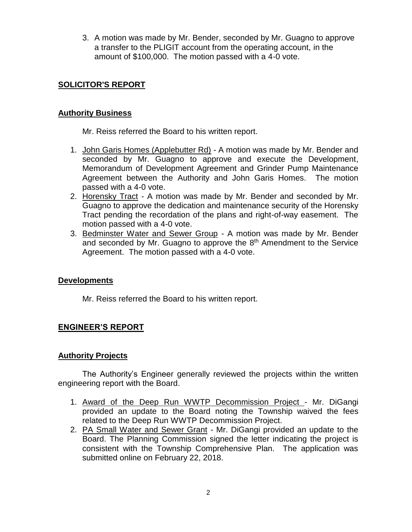3. A motion was made by Mr. Bender, seconded by Mr. Guagno to approve a transfer to the PLIGIT account from the operating account, in the amount of \$100,000. The motion passed with a 4-0 vote.

## **SOLICITOR'S REPORT**

### **Authority Business**

Mr. Reiss referred the Board to his written report.

- 1. John Garis Homes (Applebutter Rd) A motion was made by Mr. Bender and seconded by Mr. Guagno to approve and execute the Development, Memorandum of Development Agreement and Grinder Pump Maintenance Agreement between the Authority and John Garis Homes. The motion passed with a 4-0 vote.
- 2. Horensky Tract A motion was made by Mr. Bender and seconded by Mr. Guagno to approve the dedication and maintenance security of the Horensky Tract pending the recordation of the plans and right-of-way easement. The motion passed with a 4-0 vote.
- 3. Bedminster Water and Sewer Group A motion was made by Mr. Bender and seconded by Mr. Guagno to approve the  $8<sup>th</sup>$  Amendment to the Service Agreement. The motion passed with a 4-0 vote.

## **Developments**

Mr. Reiss referred the Board to his written report.

## **ENGINEER'S REPORT**

### **Authority Projects**

The Authority's Engineer generally reviewed the projects within the written engineering report with the Board.

- 1. Award of the Deep Run WWTP Decommission Project Mr. DiGangi provided an update to the Board noting the Township waived the fees related to the Deep Run WWTP Decommission Project.
- 2. PA Small Water and Sewer Grant Mr. DiGangi provided an update to the Board. The Planning Commission signed the letter indicating the project is consistent with the Township Comprehensive Plan. The application was submitted online on February 22, 2018.